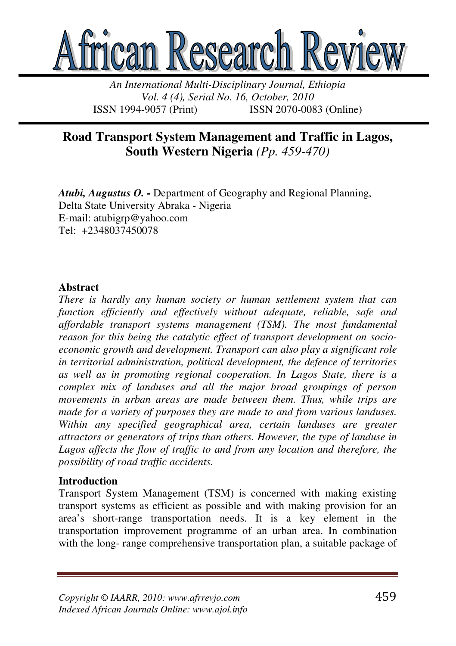

*An International Multi-Disciplinary Journal, Ethiopia Vol. 4 (4), Serial No. 16, October, 2010*  ISSN 1994-9057 (Print) ISSN 2070-0083 (Online)

# **Road Transport System Management and Traffic in Lagos, South Western Nigeria** *(Pp. 459-470)*

*Atubi, Augustus O.* **-** Department of Geography and Regional Planning, Delta State University Abraka - Nigeria E-mail: atubigrp@yahoo.com Tel: +2348037450078

#### **Abstract**

*There is hardly any human society or human settlement system that can function efficiently and effectively without adequate, reliable, safe and affordable transport systems management (TSM). The most fundamental reason for this being the catalytic effect of transport development on socioeconomic growth and development. Transport can also play a significant role in territorial administration, political development, the defence of territories as well as in promoting regional cooperation. In Lagos State, there is a complex mix of landuses and all the major broad groupings of person movements in urban areas are made between them. Thus, while trips are made for a variety of purposes they are made to and from various landuses. Within any specified geographical area, certain landuses are greater attractors or generators of trips than others. However, the type of landuse in*  Lagos affects the flow of traffic to and from any location and therefore, the *possibility of road traffic accidents.* 

# **Introduction**

Transport System Management (TSM) is concerned with making existing transport systems as efficient as possible and with making provision for an area's short-range transportation needs. It is a key element in the transportation improvement programme of an urban area. In combination with the long- range comprehensive transportation plan, a suitable package of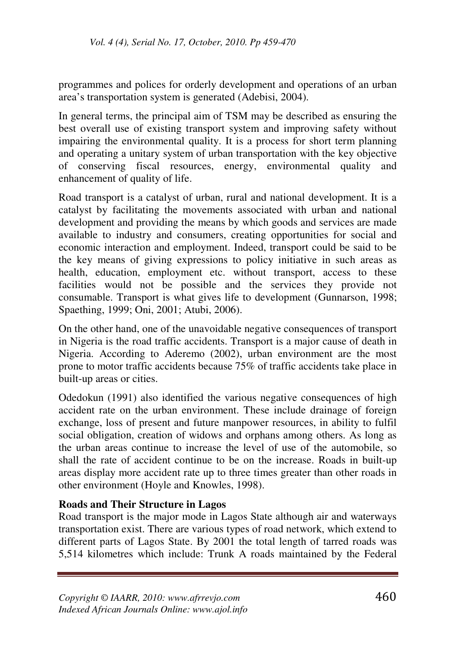programmes and polices for orderly development and operations of an urban area's transportation system is generated (Adebisi, 2004).

In general terms, the principal aim of TSM may be described as ensuring the best overall use of existing transport system and improving safety without impairing the environmental quality. It is a process for short term planning and operating a unitary system of urban transportation with the key objective of conserving fiscal resources, energy, environmental quality and enhancement of quality of life.

Road transport is a catalyst of urban, rural and national development. It is a catalyst by facilitating the movements associated with urban and national development and providing the means by which goods and services are made available to industry and consumers, creating opportunities for social and economic interaction and employment. Indeed, transport could be said to be the key means of giving expressions to policy initiative in such areas as health, education, employment etc. without transport, access to these facilities would not be possible and the services they provide not consumable. Transport is what gives life to development (Gunnarson, 1998; Spaething, 1999; Oni, 2001; Atubi, 2006).

On the other hand, one of the unavoidable negative consequences of transport in Nigeria is the road traffic accidents. Transport is a major cause of death in Nigeria. According to Aderemo (2002), urban environment are the most prone to motor traffic accidents because 75% of traffic accidents take place in built-up areas or cities.

Odedokun (1991) also identified the various negative consequences of high accident rate on the urban environment. These include drainage of foreign exchange, loss of present and future manpower resources, in ability to fulfil social obligation, creation of widows and orphans among others. As long as the urban areas continue to increase the level of use of the automobile, so shall the rate of accident continue to be on the increase. Roads in built-up areas display more accident rate up to three times greater than other roads in other environment (Hoyle and Knowles, 1998).

# **Roads and Their Structure in Lagos**

Road transport is the major mode in Lagos State although air and waterways transportation exist. There are various types of road network, which extend to different parts of Lagos State. By 2001 the total length of tarred roads was 5,514 kilometres which include: Trunk A roads maintained by the Federal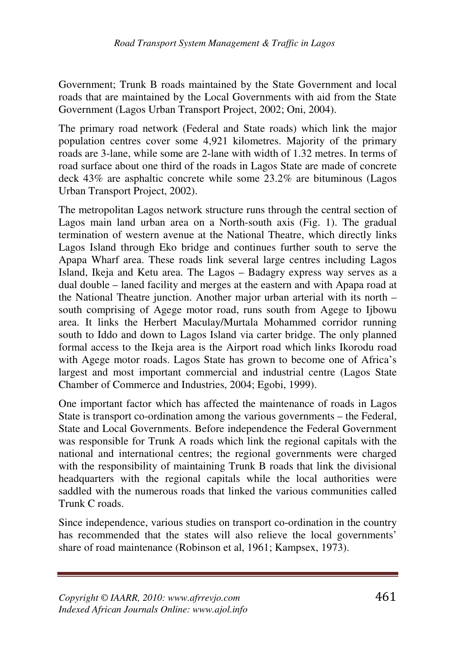Government; Trunk B roads maintained by the State Government and local roads that are maintained by the Local Governments with aid from the State Government (Lagos Urban Transport Project, 2002; Oni, 2004).

The primary road network (Federal and State roads) which link the major population centres cover some 4,921 kilometres. Majority of the primary roads are 3-lane, while some are 2-lane with width of 1.32 metres. In terms of road surface about one third of the roads in Lagos State are made of concrete deck 43% are asphaltic concrete while some 23.2% are bituminous (Lagos Urban Transport Project, 2002).

The metropolitan Lagos network structure runs through the central section of Lagos main land urban area on a North-south axis (Fig. 1). The gradual termination of western avenue at the National Theatre, which directly links Lagos Island through Eko bridge and continues further south to serve the Apapa Wharf area. These roads link several large centres including Lagos Island, Ikeja and Ketu area. The Lagos – Badagry express way serves as a dual double – laned facility and merges at the eastern and with Apapa road at the National Theatre junction. Another major urban arterial with its north – south comprising of Agege motor road, runs south from Agege to Ijbowu area. It links the Herbert Maculay/Murtala Mohammed corridor running south to Iddo and down to Lagos Island via carter bridge. The only planned formal access to the Ikeja area is the Airport road which links Ikorodu road with Agege motor roads. Lagos State has grown to become one of Africa's largest and most important commercial and industrial centre (Lagos State Chamber of Commerce and Industries, 2004; Egobi, 1999).

One important factor which has affected the maintenance of roads in Lagos State is transport co-ordination among the various governments – the Federal, State and Local Governments. Before independence the Federal Government was responsible for Trunk A roads which link the regional capitals with the national and international centres; the regional governments were charged with the responsibility of maintaining Trunk B roads that link the divisional headquarters with the regional capitals while the local authorities were saddled with the numerous roads that linked the various communities called Trunk C roads.

Since independence, various studies on transport co-ordination in the country has recommended that the states will also relieve the local governments' share of road maintenance (Robinson et al, 1961; Kampsex, 1973).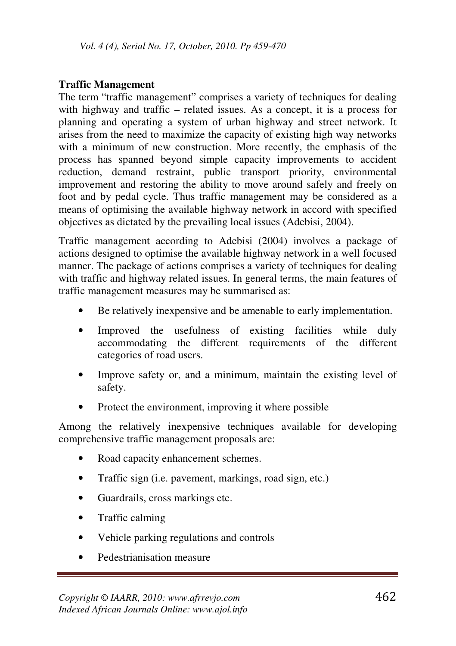# **Traffic Management**

The term "traffic management" comprises a variety of techniques for dealing with highway and traffic – related issues. As a concept, it is a process for planning and operating a system of urban highway and street network. It arises from the need to maximize the capacity of existing high way networks with a minimum of new construction. More recently, the emphasis of the process has spanned beyond simple capacity improvements to accident reduction, demand restraint, public transport priority, environmental improvement and restoring the ability to move around safely and freely on foot and by pedal cycle. Thus traffic management may be considered as a means of optimising the available highway network in accord with specified objectives as dictated by the prevailing local issues (Adebisi, 2004).

Traffic management according to Adebisi (2004) involves a package of actions designed to optimise the available highway network in a well focused manner. The package of actions comprises a variety of techniques for dealing with traffic and highway related issues. In general terms, the main features of traffic management measures may be summarised as:

- Be relatively inexpensive and be amenable to early implementation.
- Improved the usefulness of existing facilities while duly accommodating the different requirements of the different categories of road users.
- Improve safety or, and a minimum, maintain the existing level of safety.
- Protect the environment, improving it where possible

Among the relatively inexpensive techniques available for developing comprehensive traffic management proposals are:

- Road capacity enhancement schemes.
- Traffic sign (i.e. pavement, markings, road sign, etc.)
- Guardrails, cross markings etc.
- Traffic calming
- Vehicle parking regulations and controls
- Pedestrianisation measure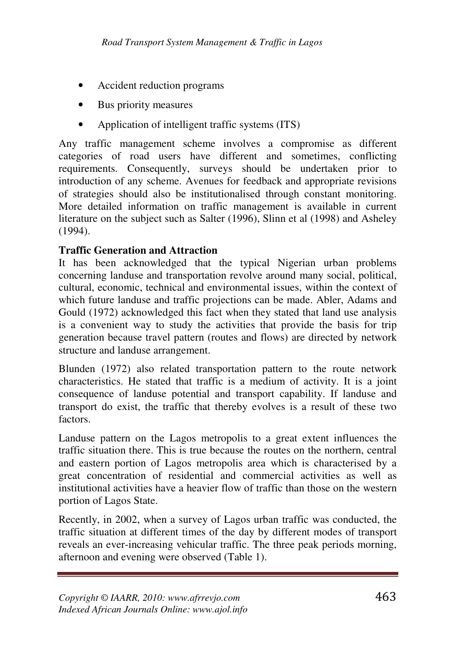- Accident reduction programs
- Bus priority measures
- Application of intelligent traffic systems (ITS)

Any traffic management scheme involves a compromise as different categories of road users have different and sometimes, conflicting requirements. Consequently, surveys should be undertaken prior to introduction of any scheme. Avenues for feedback and appropriate revisions of strategies should also be institutionalised through constant monitoring. More detailed information on traffic management is available in current literature on the subject such as Salter (1996), Slinn et al (1998) and Asheley (1994).

# **Traffic Generation and Attraction**

It has been acknowledged that the typical Nigerian urban problems concerning landuse and transportation revolve around many social, political, cultural, economic, technical and environmental issues, within the context of which future landuse and traffic projections can be made. Abler, Adams and Gould (1972) acknowledged this fact when they stated that land use analysis is a convenient way to study the activities that provide the basis for trip generation because travel pattern (routes and flows) are directed by network structure and landuse arrangement.

Blunden (1972) also related transportation pattern to the route network characteristics. He stated that traffic is a medium of activity. It is a joint consequence of landuse potential and transport capability. If landuse and transport do exist, the traffic that thereby evolves is a result of these two factors.

Landuse pattern on the Lagos metropolis to a great extent influences the traffic situation there. This is true because the routes on the northern, central and eastern portion of Lagos metropolis area which is characterised by a great concentration of residential and commercial activities as well as institutional activities have a heavier flow of traffic than those on the western portion of Lagos State.

Recently, in 2002, when a survey of Lagos urban traffic was conducted, the traffic situation at different times of the day by different modes of transport reveals an ever-increasing vehicular traffic. The three peak periods morning, afternoon and evening were observed (Table 1).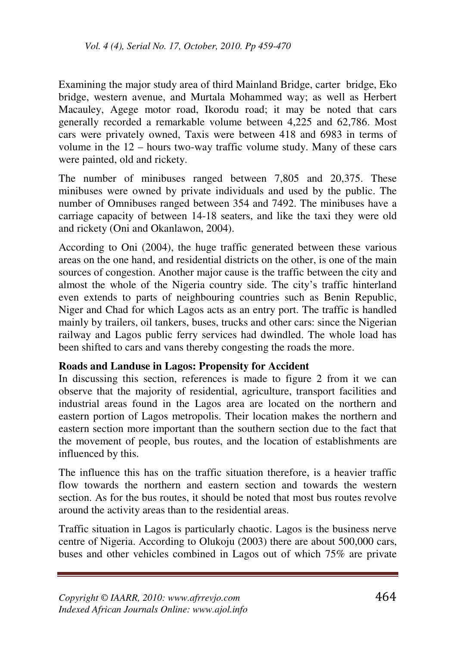Examining the major study area of third Mainland Bridge, carter bridge, Eko bridge, western avenue, and Murtala Mohammed way; as well as Herbert Macauley, Agege motor road, Ikorodu road; it may be noted that cars generally recorded a remarkable volume between 4,225 and 62,786. Most cars were privately owned, Taxis were between 418 and 6983 in terms of volume in the 12 – hours two-way traffic volume study. Many of these cars were painted, old and rickety.

The number of minibuses ranged between 7,805 and 20,375. These minibuses were owned by private individuals and used by the public. The number of Omnibuses ranged between 354 and 7492. The minibuses have a carriage capacity of between 14-18 seaters, and like the taxi they were old and rickety (Oni and Okanlawon, 2004).

According to Oni (2004), the huge traffic generated between these various areas on the one hand, and residential districts on the other, is one of the main sources of congestion. Another major cause is the traffic between the city and almost the whole of the Nigeria country side. The city's traffic hinterland even extends to parts of neighbouring countries such as Benin Republic, Niger and Chad for which Lagos acts as an entry port. The traffic is handled mainly by trailers, oil tankers, buses, trucks and other cars: since the Nigerian railway and Lagos public ferry services had dwindled. The whole load has been shifted to cars and vans thereby congesting the roads the more.

#### **Roads and Landuse in Lagos: Propensity for Accident**

In discussing this section, references is made to figure 2 from it we can observe that the majority of residential, agriculture, transport facilities and industrial areas found in the Lagos area are located on the northern and eastern portion of Lagos metropolis. Their location makes the northern and eastern section more important than the southern section due to the fact that the movement of people, bus routes, and the location of establishments are influenced by this.

The influence this has on the traffic situation therefore, is a heavier traffic flow towards the northern and eastern section and towards the western section. As for the bus routes, it should be noted that most bus routes revolve around the activity areas than to the residential areas.

Traffic situation in Lagos is particularly chaotic. Lagos is the business nerve centre of Nigeria. According to Olukoju (2003) there are about 500,000 cars, buses and other vehicles combined in Lagos out of which 75% are private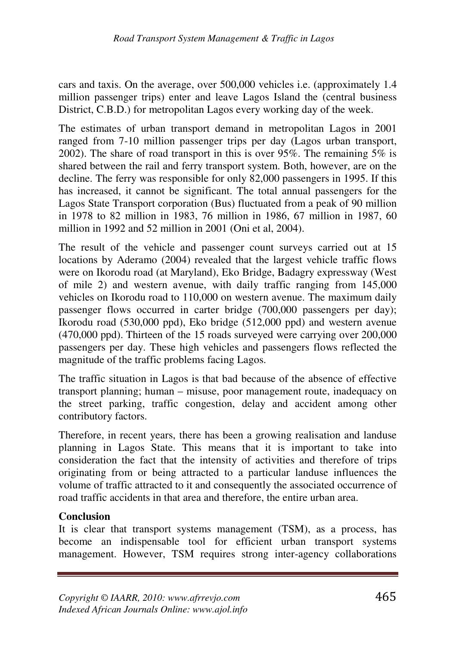cars and taxis. On the average, over 500,000 vehicles i.e. (approximately 1.4 million passenger trips) enter and leave Lagos Island the (central business District, C.B.D.) for metropolitan Lagos every working day of the week.

The estimates of urban transport demand in metropolitan Lagos in 2001 ranged from 7-10 million passenger trips per day (Lagos urban transport, 2002). The share of road transport in this is over 95%. The remaining  $5\%$  is shared between the rail and ferry transport system. Both, however, are on the decline. The ferry was responsible for only 82,000 passengers in 1995. If this has increased, it cannot be significant. The total annual passengers for the Lagos State Transport corporation (Bus) fluctuated from a peak of 90 million in 1978 to 82 million in 1983, 76 million in 1986, 67 million in 1987, 60 million in 1992 and 52 million in 2001 (Oni et al, 2004).

The result of the vehicle and passenger count surveys carried out at 15 locations by Aderamo (2004) revealed that the largest vehicle traffic flows were on Ikorodu road (at Maryland), Eko Bridge, Badagry expressway (West of mile 2) and western avenue, with daily traffic ranging from 145,000 vehicles on Ikorodu road to 110,000 on western avenue. The maximum daily passenger flows occurred in carter bridge (700,000 passengers per day); Ikorodu road (530,000 ppd), Eko bridge (512,000 ppd) and western avenue (470,000 ppd). Thirteen of the 15 roads surveyed were carrying over 200,000 passengers per day. These high vehicles and passengers flows reflected the magnitude of the traffic problems facing Lagos.

The traffic situation in Lagos is that bad because of the absence of effective transport planning; human – misuse, poor management route, inadequacy on the street parking, traffic congestion, delay and accident among other contributory factors.

Therefore, in recent years, there has been a growing realisation and landuse planning in Lagos State. This means that it is important to take into consideration the fact that the intensity of activities and therefore of trips originating from or being attracted to a particular landuse influences the volume of traffic attracted to it and consequently the associated occurrence of road traffic accidents in that area and therefore, the entire urban area.

# **Conclusion**

It is clear that transport systems management (TSM), as a process, has become an indispensable tool for efficient urban transport systems management. However, TSM requires strong inter-agency collaborations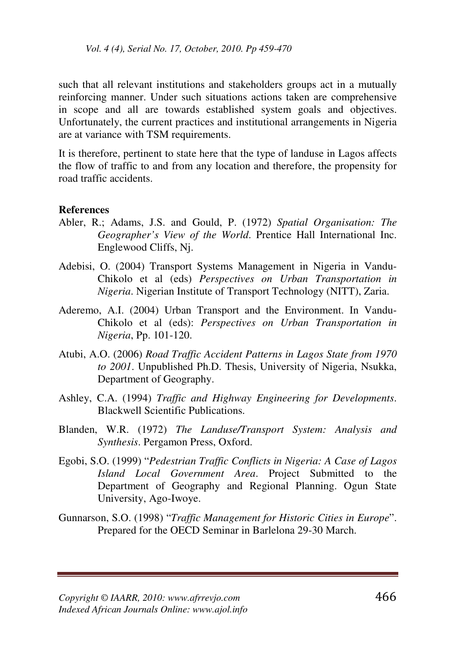such that all relevant institutions and stakeholders groups act in a mutually reinforcing manner. Under such situations actions taken are comprehensive in scope and all are towards established system goals and objectives. Unfortunately, the current practices and institutional arrangements in Nigeria are at variance with TSM requirements.

It is therefore, pertinent to state here that the type of landuse in Lagos affects the flow of traffic to and from any location and therefore, the propensity for road traffic accidents.

#### **References**

- Abler, R.; Adams, J.S. and Gould, P. (1972) *Spatial Organisation: The Geographer's View of the World*. Prentice Hall International Inc. Englewood Cliffs, Nj.
- Adebisi, O. (2004) Transport Systems Management in Nigeria in Vandu-Chikolo et al (eds) *Perspectives on Urban Transportation in Nigeria*. Nigerian Institute of Transport Technology (NITT), Zaria.
- Aderemo, A.I. (2004) Urban Transport and the Environment. In Vandu-Chikolo et al (eds): *Perspectives on Urban Transportation in Nigeria*, Pp. 101-120.
- Atubi, A.O. (2006) *Road Traffic Accident Patterns in Lagos State from 1970 to 2001*. Unpublished Ph.D. Thesis, University of Nigeria, Nsukka, Department of Geography.
- Ashley, C.A. (1994) *Traffic and Highway Engineering for Developments*. Blackwell Scientific Publications.
- Blanden, W.R. (1972) *The Landuse/Transport System: Analysis and Synthesis*. Pergamon Press, Oxford.
- Egobi, S.O. (1999) "*Pedestrian Traffic Conflicts in Nigeria: A Case of Lagos Island Local Government Area*. Project Submitted to the Department of Geography and Regional Planning. Ogun State University, Ago-Iwoye.
- Gunnarson, S.O. (1998) "*Traffic Management for Historic Cities in Europe*". Prepared for the OECD Seminar in Barlelona 29-30 March.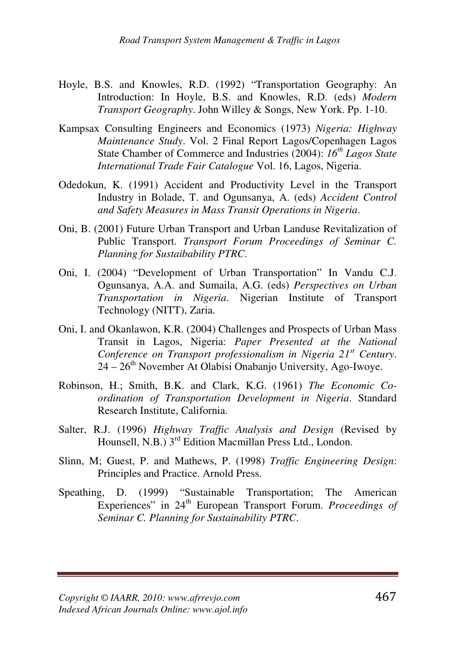- Hoyle, B.S. and Knowles, R.D. (1992) "Transportation Geography: An Introduction: In Hoyle, B.S. and Knowles, R.D. (eds) *Modern Transport Geography*. John Willey & Songs, New York. Pp. 1-10.
- Kampsax Consulting Engineers and Economics (1973) *Nigeria: Highway Maintenance Study*. Vol. 2 Final Report Lagos/Copenhagen Lagos State Chamber of Commerce and Industries (2004): *16th Lagos State International Trade Fair Catalogue* Vol. 16, Lagos, Nigeria.
- Odedokun, K. (1991) Accident and Productivity Level in the Transport Industry in Bolade, T. and Ogunsanya, A. (eds) *Accident Control and Safety Measures in Mass Transit Operations in Nigeria*.
- Oni, B. (2001) Future Urban Transport and Urban Landuse Revitalization of Public Transport. *Transport Forum Proceedings of Seminar C. Planning for Sustaibability PTRC*.
- Oni, I. (2004) "Development of Urban Transportation" In Vandu C.J. Ogunsanya, A.A. and Sumaila, A.G. (eds) *Perspectives on Urban Transportation in Nigeria*. Nigerian Institute of Transport Technology (NITT), Zaria.
- Oni, I. and Okanlawon, K.R. (2004) Challenges and Prospects of Urban Mass Transit in Lagos, Nigeria: *Paper Presented at the National Conference on Transport professionalism in Nigeria 21st Century*.  $24 - 26$ <sup>th</sup> November At Olabisi Onabanjo University, Ago-Iwoye.
- Robinson, H.; Smith, B.K. and Clark, K.G. (1961) *The Economic Coordination of Transportation Development in Nigeria*. Standard Research Institute, California.
- Salter, R.J. (1996) *Highway Traffic Analysis and Design* (Revised by Hounsell, N.B.) 3<sup>rd</sup> Edition Macmillan Press Ltd., London.
- Slinn, M; Guest, P. and Mathews, P. (1998) *Traffic Engineering Design*: Principles and Practice. Arnold Press.
- Speathing, D. (1999) "Sustainable Transportation; The American Experiences" in 24<sup>th</sup> European Transport Forum. *Proceedings of Seminar C. Planning for Sustainability PTRC*.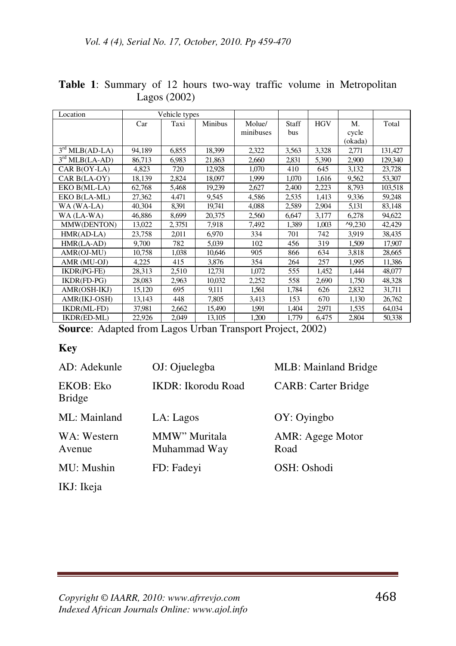| Location         | Vehicle types |        |         |           |       |            |         |         |
|------------------|---------------|--------|---------|-----------|-------|------------|---------|---------|
|                  | Car           | Taxi   | Minibus | Molue/    | Staff | <b>HGV</b> | M.      | Total   |
|                  |               |        |         | minibuses | bus   |            | cycle   |         |
|                  |               |        |         |           |       |            | (okada) |         |
| $3rd MLB(AD-LA)$ | 94.189        | 6,855  | 18,399  | 2,322     | 3,563 | 3,328      | 2,771   | 131,427 |
| $3rd MLB(LA-AD)$ | 86,713        | 6,983  | 21,863  | 2,660     | 2.831 | 5,390      | 2,900   | 129,340 |
| CAR B(OY-LA)     | 4,823         | 720    | 12,928  | 1,070     | 410   | 645        | 3,132   | 23,728  |
| CAR B(LA-OY)     | 18,139        | 2,824  | 18,097  | 1,999     | 1,070 | 1,616      | 9,562   | 53,307  |
| EKO B(ML-LA)     | 62,768        | 5,468  | 19,239  | 2,627     | 2,400 | 2,223      | 8,793   | 103,518 |
| EKO B(LA-ML)     | 27,362        | 4.471  | 9.545   | 4,586     | 2,535 | 1,413      | 9,336   | 59,248  |
| WA (WA-LA)       | 40,304        | 8.391  | 19,741  | 4,088     | 2,589 | 2,904      | 5,131   | 83,148  |
| WA (LA-WA)       | 46,886        | 8,699  | 20.375  | 2,560     | 6.647 | 3,177      | 6.278   | 94,622  |
| MMW(DENTON)      | 13,022        | 2,3751 | 7,918   | 7,492     | 1,389 | 1,003      | 49,230  | 42,429  |
| $HMR(AD-LA)$     | 23,758        | 2,011  | 6.970   | 334       | 701   | 742        | 3.919   | 38,435  |
| HMR(LA-AD)       | 9.700         | 782    | 5.039   | 102       | 456   | 319        | 1,509   | 17,907  |
| AMR(OJ-MU)       | 10,758        | 1,038  | 10,646  | 905       | 866   | 634        | 3,818   | 28,665  |
| AMR (MU-OJ)      | 4,225         | 415    | 3,876   | 354       | 264   | 257        | 1,995   | 11,386  |
| IKDR(PG-FE)      | 28,313        | 2,510  | 12,731  | 1,072     | 555   | 1,452      | 1,444   | 48,077  |
| IKDR(FD-PG)      | 28.083        | 2,963  | 10.032  | 2,252     | 558   | 2,690      | 1.750   | 48,328  |
| AMR(OSH-IKJ)     | 15,120        | 695    | 9,111   | 1.561     | 1,784 | 626        | 2,832   | 31,711  |
| AMR(IKJ-OSH)     | 13,143        | 448    | 7,805   | 3,413     | 153   | 670        | 1,130   | 26,762  |
| IKDR(ML-FD)      | 37,981        | 2,662  | 15,490  | 1.991     | 1,404 | 2.971      | 1,535   | 64,034  |
| IKDR(ED-ML)      | 22,926        | 2,049  | 13,105  | 1,200     | 1,779 | 6,475      | 2,804   | 50,338  |

**Table 1**: Summary of 12 hours two-way traffic volume in Metropolitan Lagos (2002)

**Source**: Adapted from Lagos Urban Transport Project, 2002)

#### **Key**

| AD: Adekunle               | OJ: Ojuelegba                 | MLB: Mainland Bridge     |
|----------------------------|-------------------------------|--------------------------|
| EKOB: Eko<br><b>Bridge</b> | <b>IKDR</b> : Ikorodu Road    | CARB: Carter Bridge      |
| ML: Mainland               | LA: Lagos                     | OY: Oyingbo              |
| WA: Western<br>Avenue      | MMW" Muritala<br>Muhammad Way | AMR: Agege Motor<br>Road |
| MU: Mushin                 | FD: Fadevi                    | OSH: Oshodi              |
| IKJ: Ikeja                 |                               |                          |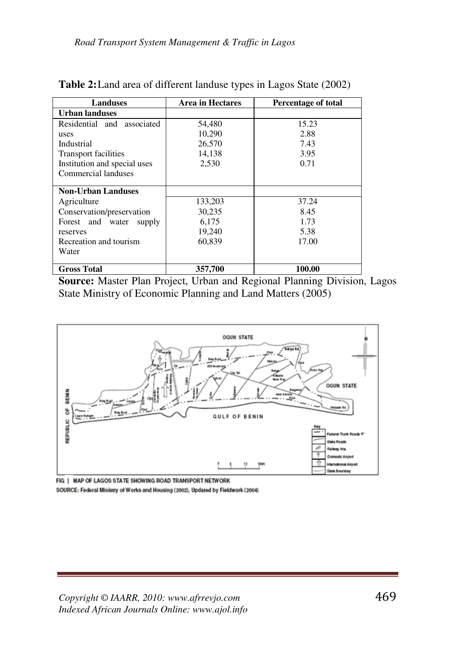| <b>Landuses</b>               | <b>Area in Hectares</b> | <b>Percentage of total</b> |  |
|-------------------------------|-------------------------|----------------------------|--|
| <b>Urban landuses</b>         |                         |                            |  |
| Residential and<br>associated | 54,480                  | 15.23                      |  |
| uses                          | 10,290                  | 2.88                       |  |
| Industrial                    | 26,570                  | 7.43                       |  |
| <b>Transport facilities</b>   | 14,138                  | 3.95                       |  |
| Institution and special uses  | 2,530                   | 0.71                       |  |
| Commercial landuses           |                         |                            |  |
|                               |                         |                            |  |
| <b>Non-Urban Landuses</b>     |                         |                            |  |
| Agriculture                   | 133,203                 | 37.24                      |  |
| Conservation/preservation     | 30,235                  | 8.45                       |  |
| Forest and water<br>supply    | 6,175                   | 1.73                       |  |
| reserves                      | 19,240                  | 5.38                       |  |
| Recreation and tourism        | 60,839                  | 17.00                      |  |
| Water                         |                         |                            |  |
| <b>Gross Total</b>            | 357,700                 | 100.00                     |  |

| Table 2: Land area of different landuse types in Lagos State (2002) |  |
|---------------------------------------------------------------------|--|
|---------------------------------------------------------------------|--|

**Source:** Master Plan Project, Urban and Regional Planning Division, Lagos State Ministry of Economic Planning and Land Matters (2005)



FIG | MAP OF LAGOS STATE SHOWING ROAD TRANSPORT NETWORK SOURCE: Federal Ministry of Works and Housing (2002), Updated by Fieldwork (2004)